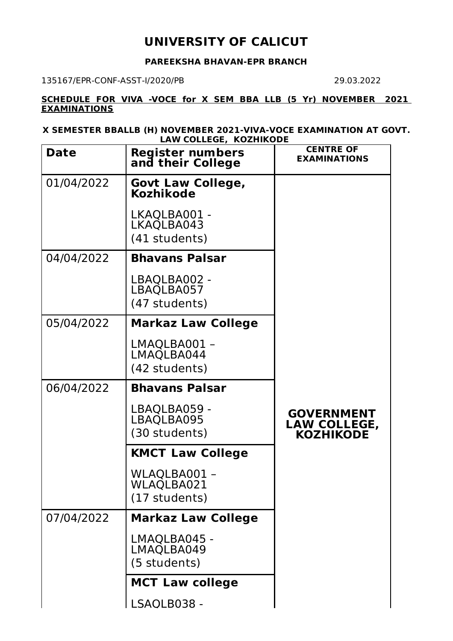## **UNIVERSITY OF CALICUT**

## **PAREEKSHA BHAVAN-EPR BRANCH**

135167/EPR-CONF-ASST-I/2020/PB 29.03.2022

**SCHEDULE FOR VIVA -VOCE for X SEM BBA LLB (5 Yr) NOVEMBER 2021 EXAMINATIONS**

**X SEMESTER BBALLB (H) NOVEMBER 2021-VIVA-VOCE EXAMINATION AT GOVT. LAW COLLEGE, KOZHIKODE**

| <b>Date</b> | <b>Register numbers</b><br>and their College | <b>CENTRE OF</b><br><b>EXAMINATIONS</b>               |
|-------------|----------------------------------------------|-------------------------------------------------------|
| 01/04/2022  | <b>Govt Law College,</b><br><b>Kozhikode</b> |                                                       |
|             | LKAQLBA001 -<br>LKAQLBA043<br>(41 students)  |                                                       |
| 04/04/2022  | <b>Bhavans Palsar</b>                        |                                                       |
|             | LBAQLBA002 -<br>LBAQLBA057<br>(47 students)  |                                                       |
| 05/04/2022  | <b>Markaz Law College</b>                    |                                                       |
|             | LMAQLBA001 -<br>LMAQLBA044<br>(42 students)  |                                                       |
| 06/04/2022  | <b>Bhavans Palsar</b>                        |                                                       |
|             |                                              |                                                       |
|             | LBAQLBA059 -<br>LBAQLBA095<br>(30 students)  | <b>GOVERNMENT</b><br>LAW COLLEGE,<br><b>KOZHIKODE</b> |
|             | <b>KMCT Law College</b>                      |                                                       |
|             | WLAQLBA001 -<br>WLAQLBA021<br>(17 students)  |                                                       |
| 07/04/2022  | <b>Markaz Law College</b>                    |                                                       |
|             | LMAQLBA045 -<br>LMAQLBA049<br>(5 students)   |                                                       |
|             | <b>MCT Law college</b>                       |                                                       |